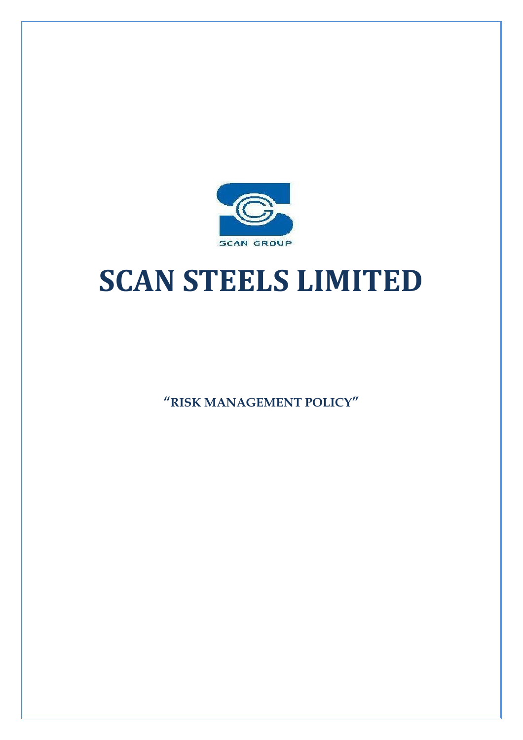

# **SCAN STEELS LIMITED**

**"RISK MANAGEMENT POLICY"**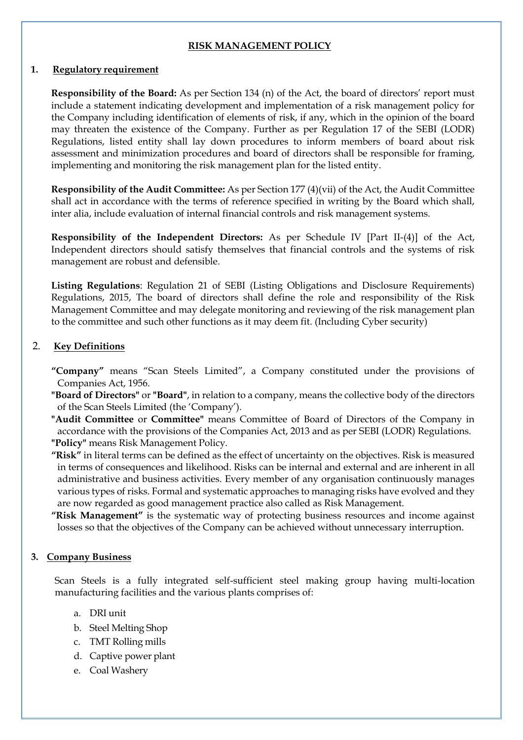#### **RISK MANAGEMENT POLICY**

#### **1. Regulatory requirement**

**Responsibility of the Board:** As per Section 134 (n) of the Act, the board of directors' report must include a statement indicating development and implementation of a risk management policy for the Company including identification of elements of risk, if any, which in the opinion of the board may threaten the existence of the Company. Further as per Regulation 17 of the SEBI (LODR) Regulations, listed entity shall lay down procedures to inform members of board about risk assessment and minimization procedures and board of directors shall be responsible for framing, implementing and monitoring the risk management plan for the listed entity.

**Responsibility of the Audit Committee:** As per Section 177 (4)(vii) of the Act, the Audit Committee shall act in accordance with the terms of reference specified in writing by the Board which shall, inter alia, include evaluation of internal financial controls and risk management systems.

**Responsibility of the Independent Directors:** As per Schedule IV [Part II-(4)] of the Act, Independent directors should satisfy themselves that financial controls and the systems of risk management are robust and defensible.

**Listing Regulations**: Regulation 21 of SEBI (Listing Obligations and Disclosure Requirements) Regulations, 2015, The board of directors shall define the role and responsibility of the Risk Management Committee and may delegate monitoring and reviewing of the risk management plan to the committee and such other functions as it may deem fit. (Including Cyber security)

## 2. **Key Definitions**

- **"Company"** means "Scan Steels Limited", a Company constituted under the provisions of Companies Act, 1956.
- **"Board of Directors"** or **"Board"**, in relation to a company, means the collective body of the directors of the Scan Steels Limited (the 'Company').
- **"Audit Committee** or **Committee"** means Committee of Board of Directors of the Company in accordance with the provisions of the Companies Act, 2013 and as per SEBI (LODR) Regulations. **"Policy"** means Risk Management Policy.
- **"Risk"** in literal terms can be defined as the effect of uncertainty on the objectives. Risk is measured in terms of consequences and likelihood. Risks can be internal and external and are inherent in all administrative and business activities. Every member of any organisation continuously manages various types of risks. Formal and systematic approaches to managing risks have evolved and they are now regarded as good management practice also called as Risk Management.
- **"Risk Management"** is the systematic way of protecting business resources and income against losses so that the objectives of the Company can be achieved without unnecessary interruption.

#### **3. Company Business**

Scan Steels is a fully integrated self-sufficient steel making group having multi-location manufacturing facilities and the various plants comprises of:

- a. DRI unit
- b. Steel Melting Shop
- c. TMT Rolling mills
- d. Captive power plant
- e. Coal Washery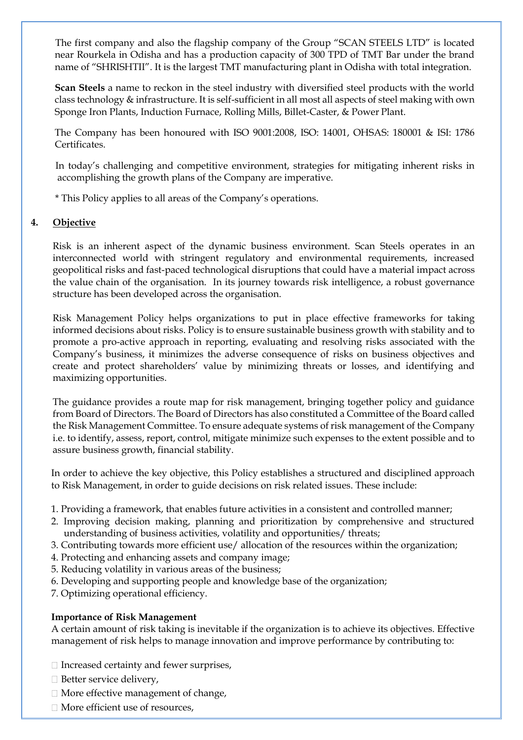The first company and also the flagship company of the Group "SCAN STEELS LTD" is located near Rourkela in Odisha and has a production capacity of 300 TPD of TMT Bar under the brand name of "SHRISHTII". It is the largest TMT manufacturing plant in Odisha with total integration.

**Scan Steels** a name to reckon in the steel industry with diversified steel products with the world class technology & infrastructure. It is self-sufficient in all most all aspects of steel making with own Sponge Iron Plants, Induction Furnace, Rolling Mills, Billet-Caster, & Power Plant.

The Company has been honoured with ISO 9001:2008, ISO: 14001, OHSAS: 180001 & ISI: 1786 Certificates.

 In today's challenging and competitive environment, strategies for mitigating inherent risks in accomplishing the growth plans of the Company are imperative.

\* This Policy applies to all areas of the Company's operations.

## **4. Objective**

Risk is an inherent aspect of the dynamic business environment. Scan Steels operates in an interconnected world with stringent regulatory and environmental requirements, increased geopolitical risks and fast-paced technological disruptions that could have a material impact across the value chain of the organisation. In its journey towards risk intelligence, a robust governance structure has been developed across the organisation.

Risk Management Policy helps organizations to put in place effective frameworks for taking informed decisions about risks. Policy is to ensure sustainable business growth with stability and to promote a pro-active approach in reporting, evaluating and resolving risks associated with the Company's business, it minimizes the adverse consequence of risks on business objectives and create and protect shareholders' value by minimizing threats or losses, and identifying and maximizing opportunities.

The guidance provides a route map for risk management, bringing together policy and guidance from Board of Directors. The Board of Directors has also constituted a Committee of the Board called the Risk Management Committee. To ensure adequate systems of risk management of the Company i.e. to identify, assess, report, control, mitigate minimize such expenses to the extent possible and to assure business growth, financial stability.

In order to achieve the key objective, this Policy establishes a structured and disciplined approach to Risk Management, in order to guide decisions on risk related issues. These include:

- 1. Providing a framework, that enables future activities in a consistent and controlled manner;
- 2. Improving decision making, planning and prioritization by comprehensive and structured understanding of business activities, volatility and opportunities/ threats;
- 3. Contributing towards more efficient use/ allocation of the resources within the organization;
- 4. Protecting and enhancing assets and company image;
- 5. Reducing volatility in various areas of the business;
- 6. Developing and supporting people and knowledge base of the organization;
- 7. Optimizing operational efficiency.

#### **Importance of Risk Management**

A certain amount of risk taking is inevitable if the organization is to achieve its objectives. Effective management of risk helps to manage innovation and improve performance by contributing to:

- $\Box$  Increased certainty and fewer surprises,
- $\Box$  Better service delivery,
- $\Box$  More effective management of change,
- □ More efficient use of resources.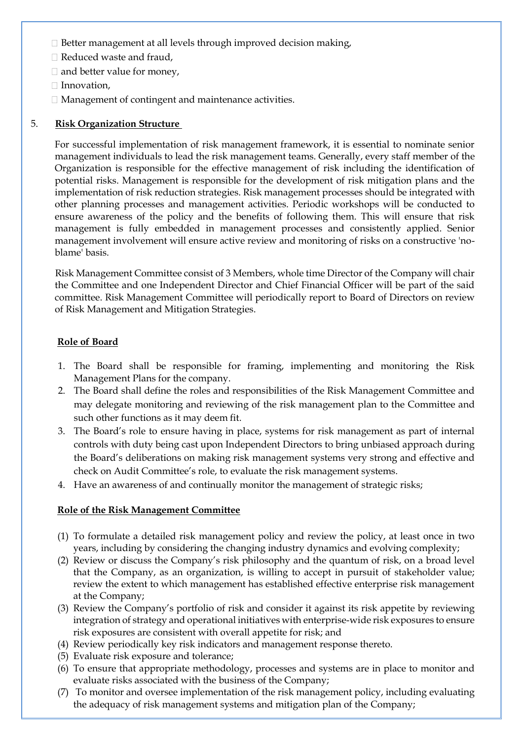- $\Box$  Better management at all levels through improved decision making,
- □ Reduced waste and fraud,
- $\Box$  and better value for money,
- $\Box$  Innovation,
- Management of contingent and maintenance activities.

#### 5. **Risk Organization Structure**

For successful implementation of risk management framework, it is essential to nominate senior management individuals to lead the risk management teams. Generally, every staff member of the Organization is responsible for the effective management of risk including the identification of potential risks. Management is responsible for the development of risk mitigation plans and the implementation of risk reduction strategies. Risk management processes should be integrated with other planning processes and management activities. Periodic workshops will be conducted to ensure awareness of the policy and the benefits of following them. This will ensure that risk management is fully embedded in management processes and consistently applied. Senior management involvement will ensure active review and monitoring of risks on a constructive 'noblame' basis.

Risk Management Committee consist of 3 Members, whole time Director of the Company will chair the Committee and one Independent Director and Chief Financial Officer will be part of the said committee. Risk Management Committee will periodically report to Board of Directors on review of Risk Management and Mitigation Strategies.

## **Role of Board**

- 1. The Board shall be responsible for framing, implementing and monitoring the Risk Management Plans for the company.
- 2. The Board shall define the roles and responsibilities of the Risk Management Committee and may delegate monitoring and reviewing of the risk management plan to the Committee and such other functions as it may deem fit.
- 3. The Board's role to ensure having in place, systems for risk management as part of internal controls with duty being cast upon Independent Directors to bring unbiased approach during the Board's deliberations on making risk management systems very strong and effective and check on Audit Committee's role, to evaluate the risk management systems.
- 4. Have an awareness of and continually monitor the management of strategic risks;

#### **Role of the Risk Management Committee**

- (1) To formulate a detailed risk management policy and review the policy, at least once in two years, including by considering the changing industry dynamics and evolving complexity;
- (2) Review or discuss the Company's risk philosophy and the quantum of risk, on a broad level that the Company, as an organization, is willing to accept in pursuit of stakeholder value; review the extent to which management has established effective enterprise risk management at the Company;
- (3) Review the Company's portfolio of risk and consider it against its risk appetite by reviewing integration of strategy and operational initiatives with enterprise-wide risk exposures to ensure risk exposures are consistent with overall appetite for risk; and
- (4) Review periodically key risk indicators and management response thereto.
- (5) Evaluate risk exposure and tolerance;
- (6) To ensure that appropriate methodology, processes and systems are in place to monitor and evaluate risks associated with the business of the Company;
- (7) To monitor and oversee implementation of the risk management policy, including evaluating the adequacy of risk management systems and mitigation plan of the Company;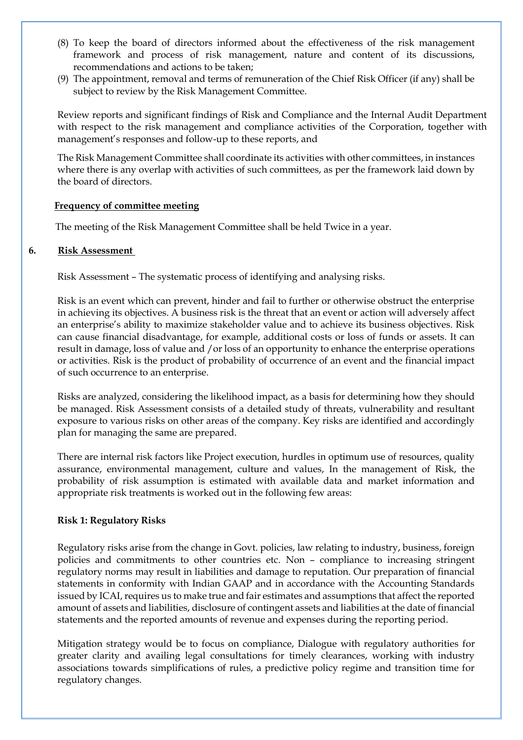- (8) To keep the board of directors informed about the effectiveness of the risk management framework and process of risk management, nature and content of its discussions, recommendations and actions to be taken;
- (9) The appointment, removal and terms of remuneration of the Chief Risk Officer (if any) shall be subject to review by the Risk Management Committee.

Review reports and significant findings of Risk and Compliance and the Internal Audit Department with respect to the risk management and compliance activities of the Corporation, together with management's responses and follow-up to these reports, and

The Risk Management Committee shall coordinate its activities with other committees, in instances where there is any overlap with activities of such committees, as per the framework laid down by the board of directors.

#### **Frequency of committee meeting**

The meeting of the Risk Management Committee shall be held Twice in a year.

#### **6. Risk Assessment**

Risk Assessment – The systematic process of identifying and analysing risks.

Risk is an event which can prevent, hinder and fail to further or otherwise obstruct the enterprise in achieving its objectives. A business risk is the threat that an event or action will adversely affect an enterprise's ability to maximize stakeholder value and to achieve its business objectives. Risk can cause financial disadvantage, for example, additional costs or loss of funds or assets. It can result in damage, loss of value and /or loss of an opportunity to enhance the enterprise operations or activities. Risk is the product of probability of occurrence of an event and the financial impact of such occurrence to an enterprise.

Risks are analyzed, considering the likelihood impact, as a basis for determining how they should be managed. Risk Assessment consists of a detailed study of threats, vulnerability and resultant exposure to various risks on other areas of the company. Key risks are identified and accordingly plan for managing the same are prepared.

There are internal risk factors like Project execution, hurdles in optimum use of resources, quality assurance, environmental management, culture and values, In the management of Risk, the probability of risk assumption is estimated with available data and market information and appropriate risk treatments is worked out in the following few areas:

#### **Risk 1: Regulatory Risks**

Regulatory risks arise from the change in Govt. policies, law relating to industry, business, foreign policies and commitments to other countries etc. Non – compliance to increasing stringent regulatory norms may result in liabilities and damage to reputation. Our preparation of financial statements in conformity with Indian GAAP and in accordance with the Accounting Standards issued by ICAI, requires us to make true and fair estimates and assumptions that affect the reported amount of assets and liabilities, disclosure of contingent assets and liabilities at the date of financial statements and the reported amounts of revenue and expenses during the reporting period.

Mitigation strategy would be to focus on compliance, Dialogue with regulatory authorities for greater clarity and availing legal consultations for timely clearances, working with industry associations towards simplifications of rules, a predictive policy regime and transition time for regulatory changes.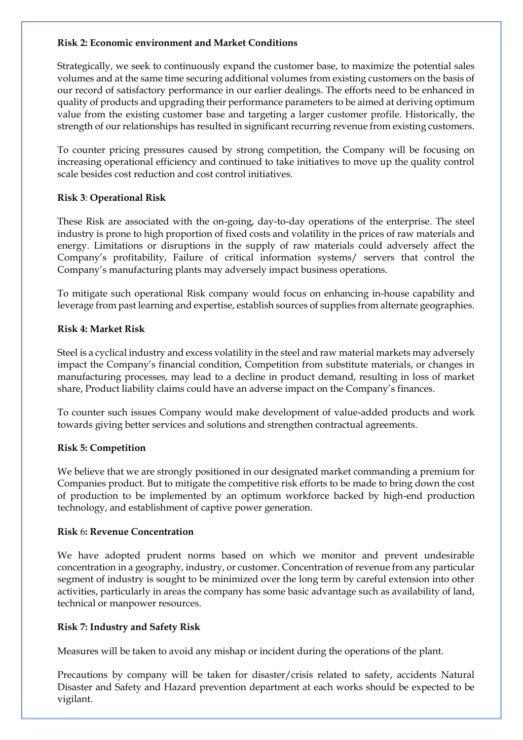#### **Risk 2: Economic environment and Market Conditions**

Strategically, we seek to continuously expand the customer base, to maximize the potential sales volumes and at the same time securing additional volumes from existing customers on the basis of our record of satisfactory performance in our earlier dealings. The efforts need to be enhanced in quality of products and upgrading their performance parameters to be aimed at deriving optimum value from the existing customer base and targeting a larger customer profile. Historically, the strength of our relationships has resulted in significant recurring revenue from existing customers.

To counter pricing pressures caused by strong competition, the Company will be focusing on increasing operational efficiency and continued to take initiatives to move up the quality control scale besides cost reduction and cost control initiatives.

# **Risk 3**: **Operational Risk**

These Risk are associated with the on-going, day-to-day operations of the enterprise. The steel industry is prone to high proportion of fixed costs and volatility in the prices of raw materials and energy. Limitations or disruptions in the supply of raw materials could adversely affect the Company's profitability, Failure of critical information systems/ servers that control the Company's manufacturing plants may adversely impact business operations.

To mitigate such operational Risk company would focus on enhancing in-house capability and leverage from past learning and expertise, establish sources of supplies from alternate geographies.

## **Risk 4: Market Risk**

Steel is a cyclical industry and excess volatility in the steel and raw material markets may adversely impact the Company's financial condition, Competition from substitute materials, or changes in manufacturing processes, may lead to a decline in product demand, resulting in loss of market share, Product liability claims could have an adverse impact on the Company's finances.

To counter such issues Company would make development of value-added products and work towards giving better services and solutions and strengthen contractual agreements.

# **Risk 5: Competition**

We believe that we are strongly positioned in our designated market commanding a premium for Companies product. But to mitigate the competitive risk efforts to be made to bring down the cost of production to be implemented by an optimum workforce backed by high-end production technology, and establishment of captive power generation.

#### **Risk** 6**: Revenue Concentration**

We have adopted prudent norms based on which we monitor and prevent undesirable concentration in a geography, industry, or customer. Concentration of revenue from any particular segment of industry is sought to be minimized over the long term by careful extension into other activities, particularly in areas the company has some basic advantage such as availability of land, technical or manpower resources.

# **Risk 7: Industry and Safety Risk**

Measures will be taken to avoid any mishap or incident during the operations of the plant.

Precautions by company will be taken for disaster/crisis related to safety, accidents Natural Disaster and Safety and Hazard prevention department at each works should be expected to be vigilant.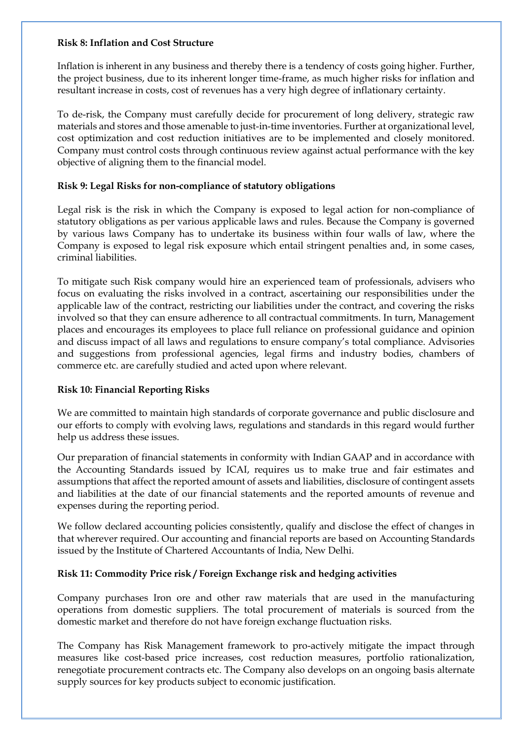#### **Risk 8: Inflation and Cost Structure**

Inflation is inherent in any business and thereby there is a tendency of costs going higher. Further, the project business, due to its inherent longer time-frame, as much higher risks for inflation and resultant increase in costs, cost of revenues has a very high degree of inflationary certainty.

To de-risk, the Company must carefully decide for procurement of long delivery, strategic raw materials and stores and those amenable to just-in-time inventories. Further at organizational level, cost optimization and cost reduction initiatives are to be implemented and closely monitored. Company must control costs through continuous review against actual performance with the key objective of aligning them to the financial model.

#### **Risk 9: Legal Risks for non-compliance of statutory obligations**

Legal risk is the risk in which the Company is exposed to legal action for non-compliance of statutory obligations as per various applicable laws and rules. Because the Company is governed by various laws Company has to undertake its business within four walls of law, where the Company is exposed to legal risk exposure which entail stringent penalties and, in some cases, criminal liabilities.

To mitigate such Risk company would hire an experienced team of professionals, advisers who focus on evaluating the risks involved in a contract, ascertaining our responsibilities under the applicable law of the contract, restricting our liabilities under the contract, and covering the risks involved so that they can ensure adherence to all contractual commitments. In turn, Management places and encourages its employees to place full reliance on professional guidance and opinion and discuss impact of all laws and regulations to ensure company's total compliance. Advisories and suggestions from professional agencies, legal firms and industry bodies, chambers of commerce etc. are carefully studied and acted upon where relevant.

#### **Risk 10: Financial Reporting Risks**

We are committed to maintain high standards of corporate governance and public disclosure and our efforts to comply with evolving laws, regulations and standards in this regard would further help us address these issues.

Our preparation of financial statements in conformity with Indian GAAP and in accordance with the Accounting Standards issued by ICAI, requires us to make true and fair estimates and assumptions that affect the reported amount of assets and liabilities, disclosure of contingent assets and liabilities at the date of our financial statements and the reported amounts of revenue and expenses during the reporting period.

We follow declared accounting policies consistently, qualify and disclose the effect of changes in that wherever required. Our accounting and financial reports are based on Accounting Standards issued by the Institute of Chartered Accountants of India, New Delhi.

#### **Risk 11: Commodity Price risk / Foreign Exchange risk and hedging activities**

Company purchases Iron ore and other raw materials that are used in the manufacturing operations from domestic suppliers. The total procurement of materials is sourced from the domestic market and therefore do not have foreign exchange fluctuation risks.

The Company has Risk Management framework to pro-actively mitigate the impact through measures like cost-based price increases, cost reduction measures, portfolio rationalization, renegotiate procurement contracts etc. The Company also develops on an ongoing basis alternate supply sources for key products subject to economic justification.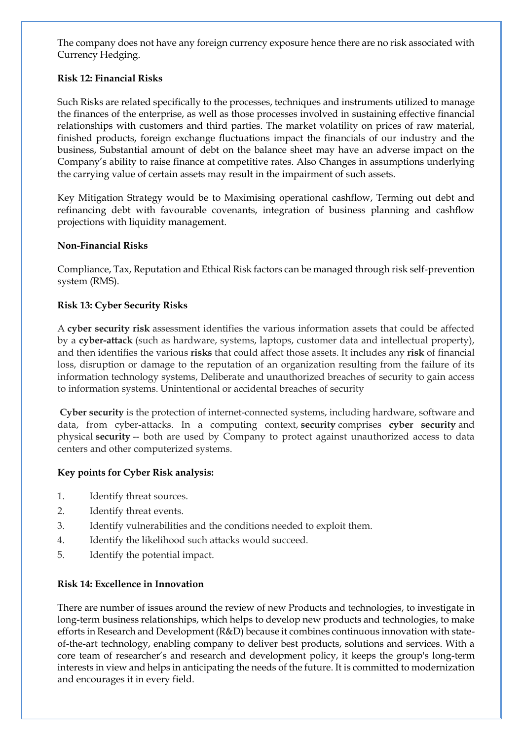The company does not have any foreign currency exposure hence there are no risk associated with Currency Hedging.

## **Risk 12: Financial Risks**

Such Risks are related specifically to the processes, techniques and instruments utilized to manage the finances of the enterprise, as well as those processes involved in sustaining effective financial relationships with customers and third parties. The market volatility on prices of raw material, finished products, foreign exchange fluctuations impact the financials of our industry and the business, Substantial amount of debt on the balance sheet may have an adverse impact on the Company's ability to raise finance at competitive rates. Also Changes in assumptions underlying the carrying value of certain assets may result in the impairment of such assets.

Key Mitigation Strategy would be to Maximising operational cashflow, Terming out debt and refinancing debt with favourable covenants, integration of business planning and cashflow projections with liquidity management.

#### **Non-Financial Risks**

Compliance, Tax, Reputation and Ethical Risk factors can be managed through risk self-prevention system (RMS).

#### **Risk 13: Cyber Security Risks**

A **cyber security risk** assessment identifies the various information assets that could be affected by a **cyber-attack** (such as hardware, systems, laptops, customer data and intellectual property), and then identifies the various **risks** that could affect those assets. It includes any **risk** of financial loss, disruption or damage to the reputation of an organization resulting from the failure of its information technology systems, Deliberate and unauthorized breaches of security to gain access to information systems. Unintentional or accidental breaches of security

**Cyber security** is the protection of internet-connected systems, including hardware, software and data, from cyber-attacks. In a computing context, **security** comprises **cyber security** and physical **security** -- both are used by Company to protect against unauthorized access to data centers and other computerized systems.

#### **Key points for Cyber Risk analysis:**

- 1. Identify threat sources.
- 2. Identify threat events.
- 3. Identify vulnerabilities and the conditions needed to exploit them.
- 4. Identify the likelihood such attacks would succeed.
- 5. Identify the potential impact.

#### **Risk 14: Excellence in Innovation**

There are number of issues around the review of new Products and technologies, to investigate in long-term business relationships, which helps to develop new products and technologies, to make efforts in Research and Development (R&D) because it combines continuous innovation with stateof-the-art technology, enabling company to deliver best products, solutions and services. With a core team of researcher's and research and development policy, it keeps the group's long-term interests in view and helps in anticipating the needs of the future. It is committed to modernization and encourages it in every field.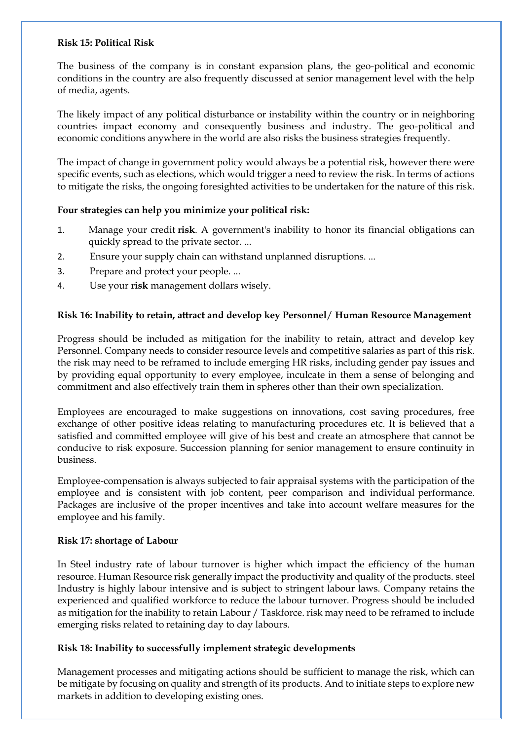#### **Risk 15: Political Risk**

The business of the company is in constant expansion plans, the geo-political and economic conditions in the country are also frequently discussed at senior management level with the help of media, agents.

The likely impact of any political disturbance or instability within the country or in neighboring countries impact economy and consequently business and industry. The geo-political and economic conditions anywhere in the world are also risks the business strategies frequently.

The impact of change in government policy would always be a potential risk, however there were specific events, such as elections, which would trigger a need to review the risk. In terms of actions to mitigate the risks, the ongoing foresighted activities to be undertaken for the nature of this risk.

## **Four strategies can help you minimize your political risk:**

- 1. Manage your credit **risk**. A government's inability to honor its financial obligations can quickly spread to the private sector. ...
- 2. Ensure your supply chain can withstand unplanned disruptions. ...
- 3. Prepare and protect your people. ...
- 4. Use your **risk** management dollars wisely.

# **Risk 16: Inability to retain, attract and develop key Personnel**/ **Human Resource Management**

Progress should be included as mitigation for the inability to retain, attract and develop key Personnel. Company needs to consider resource levels and competitive salaries as part of this risk. the risk may need to be reframed to include emerging HR risks, including gender pay issues and by providing equal opportunity to every employee, inculcate in them a sense of belonging and commitment and also effectively train them in spheres other than their own specialization.

Employees are encouraged to make suggestions on innovations, cost saving procedures, free exchange of other positive ideas relating to manufacturing procedures etc. It is believed that a satisfied and committed employee will give of his best and create an atmosphere that cannot be conducive to risk exposure. Succession planning for senior management to ensure continuity in business.

Employee-compensation is always subjected to fair appraisal systems with the participation of the employee and is consistent with job content, peer comparison and individual performance. Packages are inclusive of the proper incentives and take into account welfare measures for the employee and his family.

#### **Risk 17: shortage of Labour**

In Steel industry rate of labour turnover is higher which impact the efficiency of the human resource. Human Resource risk generally impact the productivity and quality of the products. steel Industry is highly labour intensive and is subject to stringent labour laws. Company retains the experienced and qualified workforce to reduce the labour turnover. Progress should be included as mitigation for the inability to retain Labour / Taskforce. risk may need to be reframed to include emerging risks related to retaining day to day labours.

# **Risk 18: Inability to successfully implement strategic developments**

Management processes and mitigating actions should be sufficient to manage the risk, which can be mitigate by focusing on quality and strength of its products. And to initiate steps to explore new markets in addition to developing existing ones.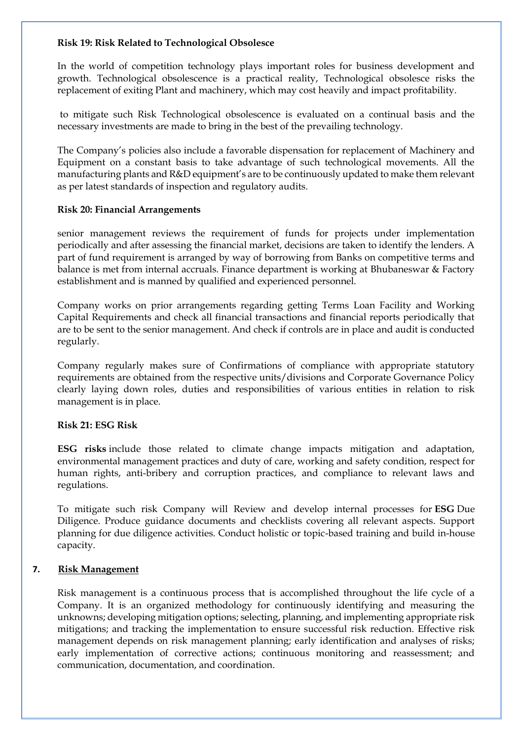#### **Risk 19: Risk Related to Technological Obsolesce**

In the world of competition technology plays important roles for business development and growth. Technological obsolescence is a practical reality, Technological obsolesce risks the replacement of exiting Plant and machinery, which may cost heavily and impact profitability.

to mitigate such Risk Technological obsolescence is evaluated on a continual basis and the necessary investments are made to bring in the best of the prevailing technology.

The Company's policies also include a favorable dispensation for replacement of Machinery and Equipment on a constant basis to take advantage of such technological movements. All the manufacturing plants and R&D equipment's are to be continuously updated to make them relevant as per latest standards of inspection and regulatory audits.

#### **Risk 20: Financial Arrangements**

senior management reviews the requirement of funds for projects under implementation periodically and after assessing the financial market, decisions are taken to identify the lenders. A part of fund requirement is arranged by way of borrowing from Banks on competitive terms and balance is met from internal accruals. Finance department is working at Bhubaneswar & Factory establishment and is manned by qualified and experienced personnel.

Company works on prior arrangements regarding getting Terms Loan Facility and Working Capital Requirements and check all financial transactions and financial reports periodically that are to be sent to the senior management. And check if controls are in place and audit is conducted regularly.

Company regularly makes sure of Confirmations of compliance with appropriate statutory requirements are obtained from the respective units/divisions and Corporate Governance Policy clearly laying down roles, duties and responsibilities of various entities in relation to risk management is in place.

#### **Risk 21: ESG Risk**

**ESG risks** include those related to climate change impacts mitigation and adaptation, environmental management practices and duty of care, working and safety condition, respect for human rights, anti-bribery and corruption practices, and compliance to relevant laws and regulations.

To mitigate such risk Company will Review and develop internal processes for **ESG** Due Diligence. Produce guidance documents and checklists covering all relevant aspects. Support planning for due diligence activities. Conduct holistic or topic-based training and build in-house capacity.

#### **7. Risk Management**

Risk management is a continuous process that is accomplished throughout the life cycle of a Company. It is an organized methodology for continuously identifying and measuring the unknowns; developing mitigation options; selecting, planning, and implementing appropriate risk mitigations; and tracking the implementation to ensure successful risk reduction. Effective risk management depends on risk management planning; early identification and analyses of risks; early implementation of corrective actions; continuous monitoring and reassessment; and communication, documentation, and coordination.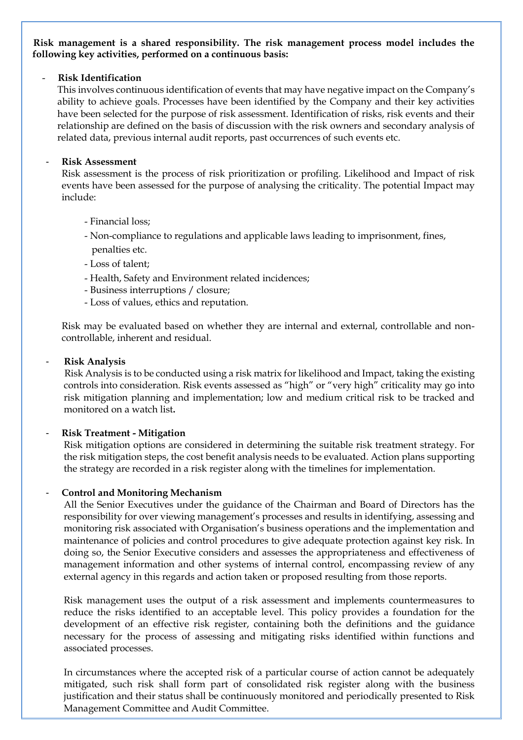#### **Risk management is a shared responsibility. The risk management process model includes the following key activities, performed on a continuous basis:**

#### - **Risk Identification**

This involves continuous identification of events that may have negative impact on the Company's ability to achieve goals. Processes have been identified by the Company and their key activities have been selected for the purpose of risk assessment. Identification of risks, risk events and their relationship are defined on the basis of discussion with the risk owners and secondary analysis of related data, previous internal audit reports, past occurrences of such events etc.

#### - **Risk Assessment**

Risk assessment is the process of risk prioritization or profiling. Likelihood and Impact of risk events have been assessed for the purpose of analysing the criticality. The potential Impact may include:

- Financial loss;
- Non-compliance to regulations and applicable laws leading to imprisonment, fines, penalties etc.
- Loss of talent;
- Health, Safety and Environment related incidences;
- Business interruptions / closure;
- Loss of values, ethics and reputation.

Risk may be evaluated based on whether they are internal and external, controllable and noncontrollable, inherent and residual.

#### - **Risk Analysis**

Risk Analysis is to be conducted using a risk matrix for likelihood and Impact, taking the existing controls into consideration. Risk events assessed as "high" or "very high" criticality may go into risk mitigation planning and implementation; low and medium critical risk to be tracked and monitored on a watch list**.** 

#### - **Risk Treatment - Mitigation**

Risk mitigation options are considered in determining the suitable risk treatment strategy. For the risk mitigation steps, the cost benefit analysis needs to be evaluated. Action plans supporting the strategy are recorded in a risk register along with the timelines for implementation.

#### - **Control and Monitoring Mechanism**

All the Senior Executives under the guidance of the Chairman and Board of Directors has the responsibility for over viewing management's processes and results in identifying, assessing and monitoring risk associated with Organisation's business operations and the implementation and maintenance of policies and control procedures to give adequate protection against key risk. In doing so, the Senior Executive considers and assesses the appropriateness and effectiveness of management information and other systems of internal control, encompassing review of any external agency in this regards and action taken or proposed resulting from those reports.

Risk management uses the output of a risk assessment and implements countermeasures to reduce the risks identified to an acceptable level. This policy provides a foundation for the development of an effective risk register, containing both the definitions and the guidance necessary for the process of assessing and mitigating risks identified within functions and associated processes.

In circumstances where the accepted risk of a particular course of action cannot be adequately mitigated, such risk shall form part of consolidated risk register along with the business justification and their status shall be continuously monitored and periodically presented to Risk Management Committee and Audit Committee.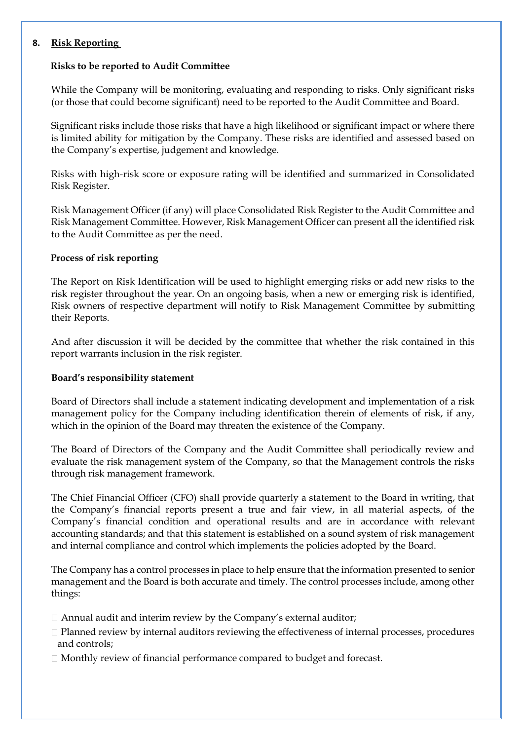#### **8. Risk Reporting**

#### **Risks to be reported to Audit Committee**

While the Company will be monitoring, evaluating and responding to risks. Only significant risks (or those that could become significant) need to be reported to the Audit Committee and Board.

Significant risks include those risks that have a high likelihood or significant impact or where there is limited ability for mitigation by the Company. These risks are identified and assessed based on the Company's expertise, judgement and knowledge.

Risks with high-risk score or exposure rating will be identified and summarized in Consolidated Risk Register.

Risk Management Officer (if any) will place Consolidated Risk Register to the Audit Committee and Risk Management Committee. However, Risk Management Officer can present all the identified risk to the Audit Committee as per the need.

#### **Process of risk reporting**

The Report on Risk Identification will be used to highlight emerging risks or add new risks to the risk register throughout the year. On an ongoing basis, when a new or emerging risk is identified, Risk owners of respective department will notify to Risk Management Committee by submitting their Reports.

And after discussion it will be decided by the committee that whether the risk contained in this report warrants inclusion in the risk register.

#### **Board's responsibility statement**

Board of Directors shall include a statement indicating development and implementation of a risk management policy for the Company including identification therein of elements of risk, if any, which in the opinion of the Board may threaten the existence of the Company.

The Board of Directors of the Company and the Audit Committee shall periodically review and evaluate the risk management system of the Company, so that the Management controls the risks through risk management framework.

The Chief Financial Officer (CFO) shall provide quarterly a statement to the Board in writing, that the Company's financial reports present a true and fair view, in all material aspects, of the Company's financial condition and operational results and are in accordance with relevant accounting standards; and that this statement is established on a sound system of risk management and internal compliance and control which implements the policies adopted by the Board.

The Company has a control processes in place to help ensure that the information presented to senior management and the Board is both accurate and timely. The control processes include, among other things:

- Annual audit and interim review by the Company's external auditor;
- $\Box$  Planned review by internal auditors reviewing the effectiveness of internal processes, procedures and controls;
- $\Box$  Monthly review of financial performance compared to budget and forecast.